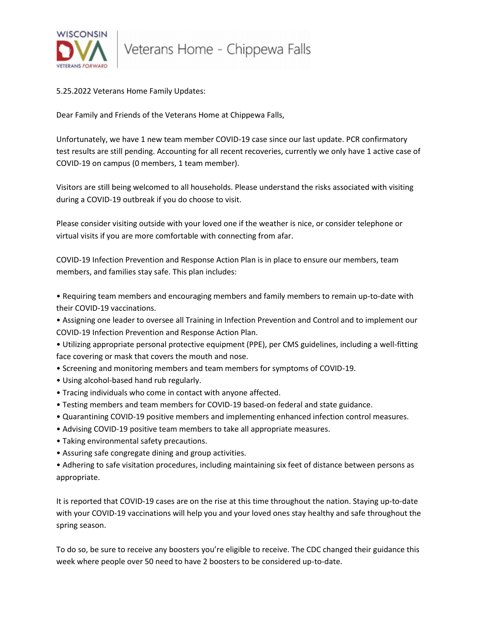

5.25.2022 Veterans Home Family Updates:

Dear Family and Friends of the Veterans Home at Chippewa Falls,

Unfortunately, we have 1 new team member COVID-19 case since our last update. PCR confirmatory test results are still pending. Accounting for all recent recoveries, currently we only have 1 active case of COVID-19 on campus (0 members, 1 team member).

Visitors are still being welcomed to all households. Please understand the risks associated with visiting during a COVID-19 outbreak if you do choose to visit.

Please consider visiting outside with your loved one if the weather is nice, or consider telephone or virtual visits if you are more comfortable with connecting from afar.

COVID-19 Infection Prevention and Response Action Plan is in place to ensure our members, team members, and families stay safe. This plan includes:

• Requiring team members and encouraging members and family members to remain up-to-date with their COVID-19 vaccinations.

• Assigning one leader to oversee all Training in Infection Prevention and Control and to implement our COVID-19 Infection Prevention and Response Action Plan.

• Utilizing appropriate personal protective equipment (PPE), per CMS guidelines, including a well-fitting face covering or mask that covers the mouth and nose.

- Screening and monitoring members and team members for symptoms of COVID-19.
- Using alcohol-based hand rub regularly.
- Tracing individuals who come in contact with anyone affected.
- Testing members and team members for COVID-19 based-on federal and state guidance.
- Quarantining COVID-19 positive members and implementing enhanced infection control measures.
- Advising COVID-19 positive team members to take all appropriate measures.
- Taking environmental safety precautions.
- Assuring safe congregate dining and group activities.

• Adhering to safe visitation procedures, including maintaining six feet of distance between persons as appropriate.

It is reported that COVID-19 cases are on the rise at this time throughout the nation. Staying up-to-date with your COVID-19 vaccinations will help you and your loved ones stay healthy and safe throughout the spring season.

To do so, be sure to receive any boosters you're eligible to receive. The CDC changed their guidance this week where people over 50 need to have 2 boosters to be considered up-to-date.